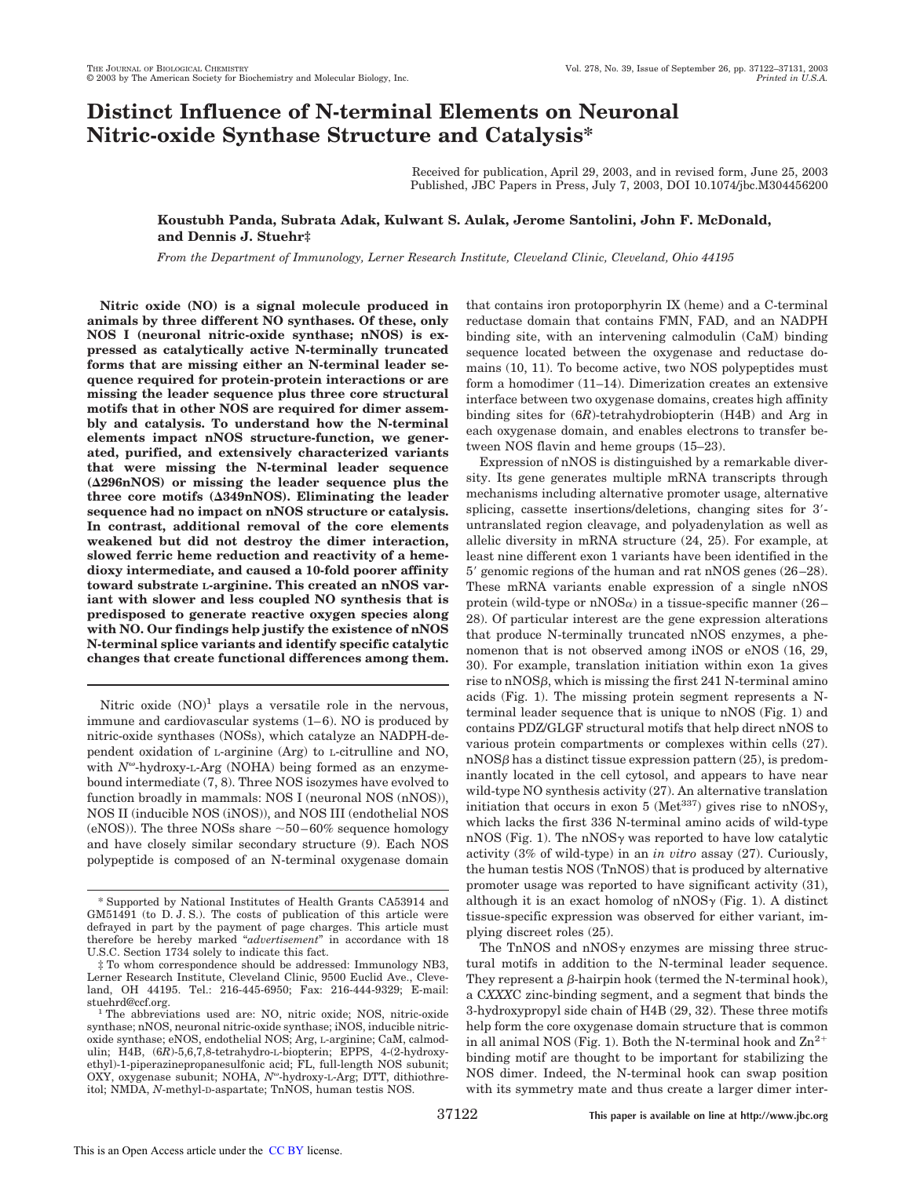# **Distinct Influence of N-terminal Elements on Neuronal Nitric-oxide Synthase Structure and Catalysis\***

Received for publication, April 29, 2003, and in revised form, June 25, 2003 Published, JBC Papers in Press, July 7, 2003, DOI 10.1074/jbc.M304456200

# **Koustubh Panda, Subrata Adak, Kulwant S. Aulak, Jerome Santolini, John F. McDonald, and Dennis J. Stuehr‡**

*From the Department of Immunology, Lerner Research Institute, Cleveland Clinic, Cleveland, Ohio 44195*

**Nitric oxide (NO) is a signal molecule produced in animals by three different NO synthases. Of these, only NOS I (neuronal nitric-oxide synthase; nNOS) is expressed as catalytically active N-terminally truncated forms that are missing either an N-terminal leader sequence required for protein-protein interactions or are missing the leader sequence plus three core structural motifs that in other NOS are required for dimer assembly and catalysis. To understand how the N-terminal elements impact nNOS structure-function, we generated, purified, and extensively characterized variants that were missing the N-terminal leader sequence (296nNOS) or missing the leader sequence plus the three core motifs (349nNOS). Eliminating the leader sequence had no impact on nNOS structure or catalysis. In contrast, additional removal of the core elements weakened but did not destroy the dimer interaction, slowed ferric heme reduction and reactivity of a hemedioxy intermediate, and caused a 10-fold poorer affinity toward substrate <sup>L</sup>-arginine. This created an nNOS variant with slower and less coupled NO synthesis that is predisposed to generate reactive oxygen species along with NO. Our findings help justify the existence of nNOS N-terminal splice variants and identify specific catalytic changes that create functional differences among them.**

Nitric oxide  $(NO)^1$  plays a versatile role in the nervous, immune and cardiovascular systems (1–6). NO is produced by nitric-oxide synthases (NOSs), which catalyze an NADPH-dependent oxidation of L-arginine (Arg) to L-citrulline and NO, with *N*<sup>ω</sup>-hydroxy-L-Arg (NOHA) being formed as an enzymebound intermediate (7, 8). Three NOS isozymes have evolved to function broadly in mammals: NOS I (neuronal NOS (nNOS)), NOS II (inducible NOS (iNOS)), and NOS III (endothelial NOS (eNOS)). The three NOSs share  $\sim 50-60\%$  sequence homology and have closely similar secondary structure (9). Each NOS polypeptide is composed of an N-terminal oxygenase domain that contains iron protoporphyrin IX (heme) and a C-terminal reductase domain that contains FMN, FAD, and an NADPH binding site, with an intervening calmodulin (CaM) binding sequence located between the oxygenase and reductase domains (10, 11). To become active, two NOS polypeptides must form a homodimer (11–14). Dimerization creates an extensive interface between two oxygenase domains, creates high affinity binding sites for (6*R*)-tetrahydrobiopterin (H4B) and Arg in each oxygenase domain, and enables electrons to transfer between NOS flavin and heme groups (15–23).

Expression of nNOS is distinguished by a remarkable diversity. Its gene generates multiple mRNA transcripts through mechanisms including alternative promoter usage, alternative splicing, cassette insertions/deletions, changing sites for 3'untranslated region cleavage, and polyadenylation as well as allelic diversity in mRNA structure (24, 25). For example, at least nine different exon 1 variants have been identified in the 5' genomic regions of the human and rat nNOS genes (26-28). These mRNA variants enable expression of a single nNOS protein (wild-type or nNOS $\alpha$ ) in a tissue-specific manner (26– 28). Of particular interest are the gene expression alterations that produce N-terminally truncated nNOS enzymes, a phenomenon that is not observed among iNOS or eNOS (16, 29, 30). For example, translation initiation within exon 1a gives rise to  $nNOS\beta$ , which is missing the first 241 N-terminal amino acids (Fig. 1). The missing protein segment represents a Nterminal leader sequence that is unique to nNOS (Fig. 1) and contains PDZ/GLGF structural motifs that help direct nNOS to various protein compartments or complexes within cells (27).  $nNOS\beta$  has a distinct tissue expression pattern (25), is predominantly located in the cell cytosol, and appears to have near wild-type NO synthesis activity (27). An alternative translation initiation that occurs in exon 5 (Met<sup>337</sup>) gives rise to nNOS $\gamma$ , which lacks the first 336 N-terminal amino acids of wild-type nNOS (Fig. 1). The nNOS $\gamma$  was reported to have low catalytic activity (3% of wild-type) in an *in vitro* assay (27). Curiously, the human testis NOS (TnNOS) that is produced by alternative promoter usage was reported to have significant activity (31), although it is an exact homolog of nNOS $\gamma$  (Fig. 1). A distinct tissue-specific expression was observed for either variant, implying discreet roles (25).

The TnNOS and  $nNOS\gamma$  enzymes are missing three structural motifs in addition to the N-terminal leader sequence. They represent a  $\beta$ -hairpin hook (termed the N-terminal hook), a C*XXX*C zinc-binding segment, and a segment that binds the 3-hydroxypropyl side chain of H4B (29, 32). These three motifs help form the core oxygenase domain structure that is common in all animal NOS (Fig. 1). Both the N-terminal hook and  $\rm Zn^{2+}$ binding motif are thought to be important for stabilizing the NOS dimer. Indeed, the N-terminal hook can swap position with its symmetry mate and thus create a larger dimer inter-

<sup>\*</sup> Supported by National Institutes of Health Grants CA53914 and GM51491 (to D. J. S.). The costs of publication of this article were defrayed in part by the payment of page charges. This article must therefore be hereby marked "*advertisement*" in accordance with 18 U.S.C. Section 1734 solely to indicate this fact.

<sup>‡</sup> To whom correspondence should be addressed: Immunology NB3, Lerner Research Institute, Cleveland Clinic, 9500 Euclid Ave., Cleveland, OH 44195. Tel.: 216-445-6950; Fax: 216-444-9329; E-mail: stuehrd@ccf.org.

<sup>&</sup>lt;sup>1</sup> The abbreviations used are: NO, nitric oxide; NOS, nitric-oxide synthase; nNOS, neuronal nitric-oxide synthase; iNOS, inducible nitricoxide synthase; eNOS, endothelial NOS; Arg, L-arginine; CaM, calmodulin; H4B, (6*R*)-5,6,7,8-tetrahydro-L-biopterin; EPPS, 4-(2-hydroxyethyl)-1-piperazinepropanesulfonic acid; FL, full-length NOS subunit; OXY, oxygenase subunit; NOHA, N<sup>o-</sup>hydroxy-L-Arg; DTT, dithiothreitol; NMDA, *N*-methyl-D-aspartate; TnNOS, human testis NOS.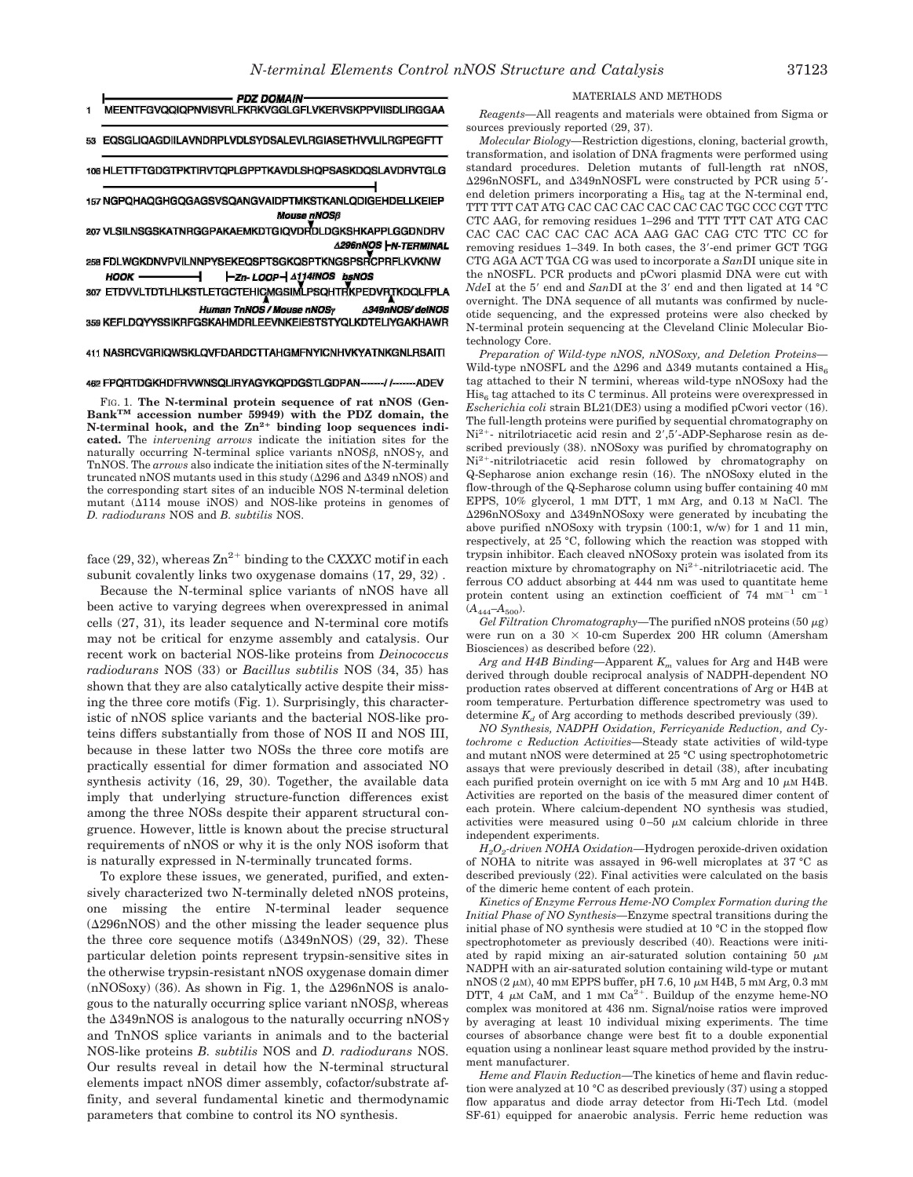| MEENTFGVQQIQPNVISVRLFKRKVGGLGFLVKERVSKPPVIISDLIRGGAA     |  |
|----------------------------------------------------------|--|
| 53 EOSGLIOAGDIILAVNDRPLVDLSYDSALEVLRGIASETHVVLILRGPEGFTT |  |

106 HLETTFTGDGTPKTIRVTQPLGPPTKAVDLSHQPSASKDQSLAVDRVTGLG

157 NGPQHAQGHGQGAGSVSQANGVAIDPTMKSTKANLQDIGEHDELLKEIEP **Mouse nNOSB** 

207 VLSILNSGSKATNRGGPAKAEMKDTGIQVDRDLDGKSHKAPPLGGDNDRV **A296nNOS HN-TERMINAL** 

258 FDLWGKDNVPVILNNPYSEKEQSPTSGKQSPTKNGSPSRCPRFLKVKNW **HOOK** -Zn-LOOP- A114INOS bsNOS

307 ETDVVLTDTLHLKSTLETGCTEHICMGSIMLPSQHTRKPEDVRTKDQLFPLA

Human TnNOS / Mouse nNOSy **A349nNOS/ deINOS** 359 KEFLDQYYSSIKRFGSKAHMDRLEEVNKEIESTSTYQLKDTELIYGAKHAWR

# 411 NASRCVGRIQWSKLQVFDARDCTTAHGMFNYICNHVKYATNKGNLRSAITI

#### 462 FPQRTDGKHDFRVWNSQLIRYAGYKQPDGSTLGDPAN--11--ADEV

FIG. 1. **The N-terminal protein sequence of rat nNOS (Gen-BankTM accession number 59949) with the PDZ domain, the N-terminal hook, and the Zn2**- **binding loop sequences indicated.** The *intervening arrows* indicate the initiation sites for the naturally occurring N-terminal splice variants  $nNOS\beta$ ,  $nNOS\gamma$ , and TnNOS. The *arrows* also indicate the initiation sites of the N-terminally truncated nNOS mutants used in this study ( $\Delta$ 296 and  $\Delta$ 349 nNOS) and the corresponding start sites of an inducible NOS N-terminal deletion mutant  $(\Delta 114$  mouse iNOS) and NOS-like proteins in genomes of *D. radiodurans* NOS and *B. subtilis* NOS.

face  $(29, 32)$ , whereas  $\text{Zn}^{2+}$  binding to the CXXXC motif in each subunit covalently links two oxygenase domains (17, 29, 32) .

Because the N-terminal splice variants of nNOS have all been active to varying degrees when overexpressed in animal cells (27, 31), its leader sequence and N-terminal core motifs may not be critical for enzyme assembly and catalysis. Our recent work on bacterial NOS-like proteins from *Deinococcus radiodurans* NOS (33) or *Bacillus subtilis* NOS (34, 35) has shown that they are also catalytically active despite their missing the three core motifs (Fig. 1). Surprisingly, this characteristic of nNOS splice variants and the bacterial NOS-like proteins differs substantially from those of NOS II and NOS III, because in these latter two NOSs the three core motifs are practically essential for dimer formation and associated NO synthesis activity (16, 29, 30). Together, the available data imply that underlying structure-function differences exist among the three NOSs despite their apparent structural congruence. However, little is known about the precise structural requirements of nNOS or why it is the only NOS isoform that is naturally expressed in N-terminally truncated forms.

To explore these issues, we generated, purified, and extensively characterized two N-terminally deleted nNOS proteins, one missing the entire N-terminal leader sequence  $(\Delta 296nNOS)$  and the other missing the leader sequence plus the three core sequence motifs  $(\Delta 349nNOS)$  (29, 32). These particular deletion points represent trypsin-sensitive sites in the otherwise trypsin-resistant nNOS oxygenase domain dimer  $(nNOSoxy)$  (36). As shown in Fig. 1, the  $\Delta 296nNOS$  is analogous to the naturally occurring splice variant  $nNOS\beta$ , whereas the  $\Delta 349$ nNOS is analogous to the naturally occurring nNOS $\gamma$ and TnNOS splice variants in animals and to the bacterial NOS-like proteins *B. subtilis* NOS and *D. radiodurans* NOS. Our results reveal in detail how the N-terminal structural elements impact nNOS dimer assembly, cofactor/substrate affinity, and several fundamental kinetic and thermodynamic parameters that combine to control its NO synthesis.

### MATERIALS AND METHODS

*Reagents—*All reagents and materials were obtained from Sigma or sources previously reported (29, 37).

*Molecular Biology—*Restriction digestions, cloning, bacterial growth, transformation, and isolation of DNA fragments were performed using standard procedures. Deletion mutants of full-length rat nNOS, 296nNOSFL, and 349nNOSFL were constructed by PCR using 5- end deletion primers incorporating a  $His<sub>6</sub>$  tag at the N-terminal end, TTT TTT CAT ATG CAC CAC CAC CAC CAC CAC TGC CCC CGT TTC CTC AAG, for removing residues 1–296 and TTT TTT CAT ATG CAC CAC CAC CAC CAC CAC ACA AAG GAC CAG CTC TTC CC for removing residues 1-349. In both cases, the 3'-end primer GCT TGG CTG AGA ACT TGA CG was used to incorporate a *San*DI unique site in the nNOSFL. PCR products and pCwori plasmid DNA were cut with *NdeI* at the 5' end and *SanDI* at the 3' end and then ligated at 14 °C overnight. The DNA sequence of all mutants was confirmed by nucleotide sequencing, and the expressed proteins were also checked by N-terminal protein sequencing at the Cleveland Clinic Molecular Biotechnology Core.

*Preparation of Wild-type nNOS, nNOSoxy, and Deletion Proteins—* Wild-type nNOSFL and the  $\Delta 296$  and  $\Delta 349$  mutants contained a His<sub>6</sub> tag attached to their N termini, whereas wild-type nNOSoxy had the  $\mathrm{His}_6$  tag attached to its C terminus. All proteins were overexpressed in *Escherichia coli* strain BL21(DE3) using a modified pCwori vector (16). The full-length proteins were purified by sequential chromatography on Ni<sup>2+</sup>- nitrilotriacetic acid resin and 2',5'-ADP-Sepharose resin as described previously (38). nNOSoxy was purified by chromatography on Ni<sup>2+</sup>-nitrilotriacetic acid resin followed by chromatography on Q-Sepharose anion exchange resin (16). The nNOSoxy eluted in the flow-through of the Q-Sepharose column using buffer containing 40 mM EPPS, 10% glycerol, 1 mM DTT, 1 mM Arg, and 0.13 M NaCl. The 296nNOSoxy and 349nNOSoxy were generated by incubating the above purified nNOSoxy with trypsin (100:1, w/w) for 1 and 11 min, respectively, at 25 °C, following which the reaction was stopped with trypsin inhibitor. Each cleaved nNOSoxy protein was isolated from its reaction mixture by chromatography on  $\mathrm{Ni^{2+}}$ -nitrilotriacetic acid. The ferrous CO adduct absorbing at 444 nm was used to quantitate heme protein content using an extinction coefficient of  $74 \text{ mm}^{-1} \text{ cm}^{-1}$  $(A_{444} - A_{500}).$ 

*Gel Filtration Chromatography*—The purified nNOS proteins (50  $\mu$ g) were run on a  $30 \times 10$ -cm Superdex 200 HR column (Amersham Biosciences) as described before (22).

*Arg and H4B Binding—*Apparent *K<sup>m</sup>* values for Arg and H4B were derived through double reciprocal analysis of NADPH-dependent NO production rates observed at different concentrations of Arg or H4B at room temperature. Perturbation difference spectrometry was used to determine  $K_d$  of Arg according to methods described previously (39).

*NO Synthesis, NADPH Oxidation, Ferricyanide Reduction, and Cytochrome c Reduction Activities—*Steady state activities of wild-type and mutant nNOS were determined at 25 °C using spectrophotometric assays that were previously described in detail (38), after incubating each purified protein overnight on ice with 5 mm Arg and 10  $\mu$ m H4B. Activities are reported on the basis of the measured dimer content of each protein. Where calcium-dependent NO synthesis was studied, activities were measured using  $0-50 \mu$ M calcium chloride in three independent experiments.

*H2O<sup>2</sup> -driven NOHA Oxidation—*Hydrogen peroxide-driven oxidation of NOHA to nitrite was assayed in 96-well microplates at 37 °C as described previously (22). Final activities were calculated on the basis of the dimeric heme content of each protein.

*Kinetics of Enzyme Ferrous Heme-NO Complex Formation during the Initial Phase of NO Synthesis—*Enzyme spectral transitions during the initial phase of NO synthesis were studied at 10 °C in the stopped flow spectrophotometer as previously described (40). Reactions were initiated by rapid mixing an air-saturated solution containing 50  $\mu$ M NADPH with an air-saturated solution containing wild-type or mutant nNOS (2 $\mu$ M), 40 mM EPPS buffer, pH 7.6, 10  $\mu$ M H4B, 5 mM Arg, 0.3 mM DTT, 4  $\mu$ M CaM, and 1 mM Ca<sup>2+</sup>. Buildup of the enzyme heme-NO complex was monitored at 436 nm. Signal/noise ratios were improved by averaging at least 10 individual mixing experiments. The time courses of absorbance change were best fit to a double exponential equation using a nonlinear least square method provided by the instrument manufacturer.

*Heme and Flavin Reduction—*The kinetics of heme and flavin reduction were analyzed at 10 °C as described previously (37) using a stopped flow apparatus and diode array detector from Hi-Tech Ltd. (model SF-61) equipped for anaerobic analysis. Ferric heme reduction was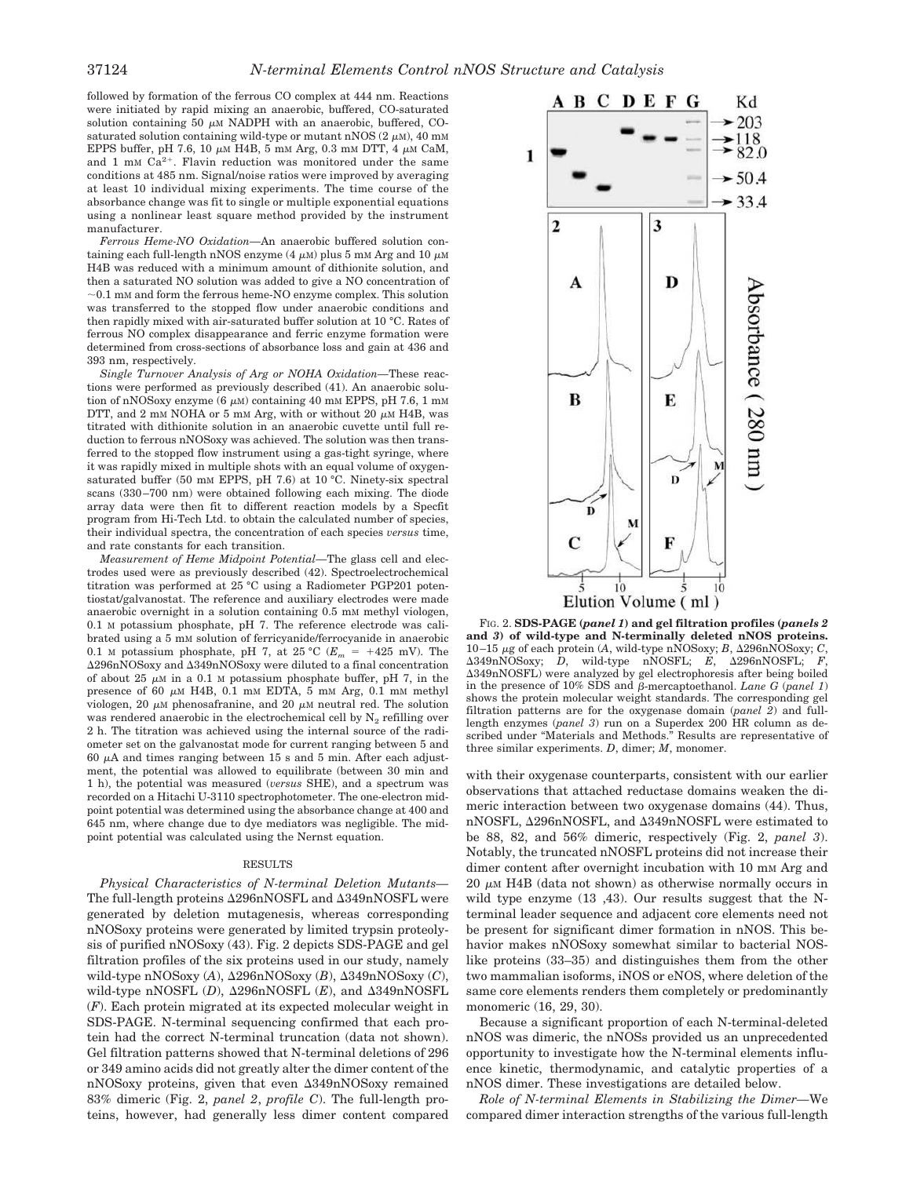followed by formation of the ferrous CO complex at 444 nm. Reactions were initiated by rapid mixing an anaerobic, buffered, CO-saturated solution containing 50  $\mu$ M NADPH with an anaerobic, buffered, COsaturated solution containing wild-type or mutant nNOS  $(2 \mu M)$ , 40 mM EPPS buffer, pH 7.6, 10  $\mu$ m H4B, 5 mm Arg, 0.3 mm DTT, 4  $\mu$ m CaM, and 1 mm  $Ca^{2+}$ . Flavin reduction was monitored under the same conditions at 485 nm. Signal/noise ratios were improved by averaging at least 10 individual mixing experiments. The time course of the absorbance change was fit to single or multiple exponential equations using a nonlinear least square method provided by the instrument manufacturer.

*Ferrous Heme-NO Oxidation—*An anaerobic buffered solution containing each full-length nNOS enzyme  $(4 \mu M)$  plus 5 mM Arg and 10  $\mu$ M H4B was reduced with a minimum amount of dithionite solution, and then a saturated NO solution was added to give a NO concentration of  $\sim$  0.1 mM and form the ferrous heme-NO enzyme complex. This solution was transferred to the stopped flow under anaerobic conditions and then rapidly mixed with air-saturated buffer solution at 10 °C. Rates of ferrous NO complex disappearance and ferric enzyme formation were determined from cross-sections of absorbance loss and gain at 436 and 393 nm, respectively.

*Single Turnover Analysis of Arg or NOHA Oxidation—*These reactions were performed as previously described (41). An anaerobic solution of nNOSoxy enzyme  $(6 \mu M)$  containing 40 mM EPPS, pH 7.6, 1 mM DTT, and 2 mM NOHA or 5 mM Arg, with or without 20  $\mu$ M H4B, was titrated with dithionite solution in an anaerobic cuvette until full reduction to ferrous nNOSoxy was achieved. The solution was then transferred to the stopped flow instrument using a gas-tight syringe, where it was rapidly mixed in multiple shots with an equal volume of oxygensaturated buffer (50 mm EPPS, pH 7.6) at 10  $^{\circ}$ C. Ninety-six spectral scans (330–700 nm) were obtained following each mixing. The diode array data were then fit to different reaction models by a Specfit program from Hi-Tech Ltd. to obtain the calculated number of species, their individual spectra, the concentration of each species *versus* time, and rate constants for each transition.

*Measurement of Heme Midpoint Potential—*The glass cell and electrodes used were as previously described (42). Spectroelectrochemical titration was performed at 25 °C using a Radiometer PGP201 potentiostat/galvanostat. The reference and auxiliary electrodes were made anaerobic overnight in a solution containing 0.5 mM methyl viologen, 0.1 M potassium phosphate, pH 7. The reference electrode was calibrated using a 5 mM solution of ferricyanide/ferrocyanide in anaerobic 0.1 M potassium phosphate, pH 7, at 25 °C ( $E_m$  = +425 mV). The 296nNOSoxy and 349nNOSoxy were diluted to a final concentration of about 25  $\mu$ M in a 0.1 M potassium phosphate buffer, pH 7, in the presence of 60  $\mu$ M H4B, 0.1 mM EDTA, 5 mM Arg, 0.1 mM methyl viologen, 20  $\mu$ M phenosafranine, and 20  $\mu$ M neutral red. The solution was rendered anaerobic in the electrochemical cell by  $N_2$  refilling over 2 h. The titration was achieved using the internal source of the radiometer set on the galvanostat mode for current ranging between 5 and 60  $\mu$ A and times ranging between 15 s and 5 min. After each adjustment, the potential was allowed to equilibrate (between 30 min and 1 h), the potential was measured (*versus* SHE), and a spectrum was recorded on a Hitachi U-3110 spectrophotometer. The one-electron midpoint potential was determined using the absorbance change at 400 and 645 nm, where change due to dye mediators was negligible. The midpoint potential was calculated using the Nernst equation.

# RESULTS

*Physical Characteristics of N-terminal Deletion Mutants—* The full-length proteins  $\Delta 296nNOSFL$  and  $\Delta 349nNOSFL$  were generated by deletion mutagenesis, whereas corresponding nNOSoxy proteins were generated by limited trypsin proteolysis of purified nNOSoxy (43). Fig. 2 depicts SDS-PAGE and gel filtration profiles of the six proteins used in our study, namely wild-type  $nNOSoxy(A)$ ,  $\Delta 296nNOSoxy(B)$ ,  $\Delta 349nNOSoxy(C)$ , wild-type nNOSFL  $(D)$ ,  $\Delta$ 296nNOSFL  $(E)$ , and  $\Delta$ 349nNOSFL (*F*). Each protein migrated at its expected molecular weight in SDS-PAGE. N-terminal sequencing confirmed that each protein had the correct N-terminal truncation (data not shown). Gel filtration patterns showed that N-terminal deletions of 296 or 349 amino acids did not greatly alter the dimer content of the nNOSoxy proteins, given that even  $\Delta 349$ nNOSoxy remained 83% dimeric (Fig. 2, *panel 2*, *profile C*). The full-length proteins, however, had generally less dimer content compared



FIG. 2. **SDS-PAGE (***panel 1***) and gel filtration profiles (***panels 2* **and** *3***) of wild-type and N-terminally deleted nNOS proteins.** 10–15 g of each protein (*A*, wild-type nNOSoxy; *B*, 296nNOSoxy; *C*, 349nNOSoxy; *D*, wild-type nNOSFL; *E*, 296nNOSFL; *F*, 349nNOSFL) were analyzed by gel electrophoresis after being boiled in the presence of  $10\%$  SDS and  $\beta$ -mercaptoethanol. *Lane G* (*panel 1*) shows the protein molecular weight standards. The corresponding gel filtration patterns are for the oxygenase domain (*panel 2*) and fulllength enzymes (*panel 3*) run on a Superdex 200 HR column as described under "Materials and Methods." Results are representative of three similar experiments. *D*, dimer; *M*, monomer.

with their oxygenase counterparts, consistent with our earlier observations that attached reductase domains weaken the dimeric interaction between two oxygenase domains (44). Thus, nNOSFL, Δ296nNOSFL, and Δ349nNOSFL were estimated to be 88, 82, and 56% dimeric, respectively (Fig. 2, *panel 3*). Notably, the truncated nNOSFL proteins did not increase their dimer content after overnight incubation with 10 mm Arg and  $20 \mu M$  H4B (data not shown) as otherwise normally occurs in wild type enzyme (13 ,43). Our results suggest that the Nterminal leader sequence and adjacent core elements need not be present for significant dimer formation in nNOS. This behavior makes nNOSoxy somewhat similar to bacterial NOSlike proteins (33–35) and distinguishes them from the other two mammalian isoforms, iNOS or eNOS, where deletion of the same core elements renders them completely or predominantly monomeric (16, 29, 30).

Because a significant proportion of each N-terminal-deleted nNOS was dimeric, the nNOSs provided us an unprecedented opportunity to investigate how the N-terminal elements influence kinetic, thermodynamic, and catalytic properties of a nNOS dimer. These investigations are detailed below.

*Role of N-terminal Elements in Stabilizing the Dimer—*We compared dimer interaction strengths of the various full-length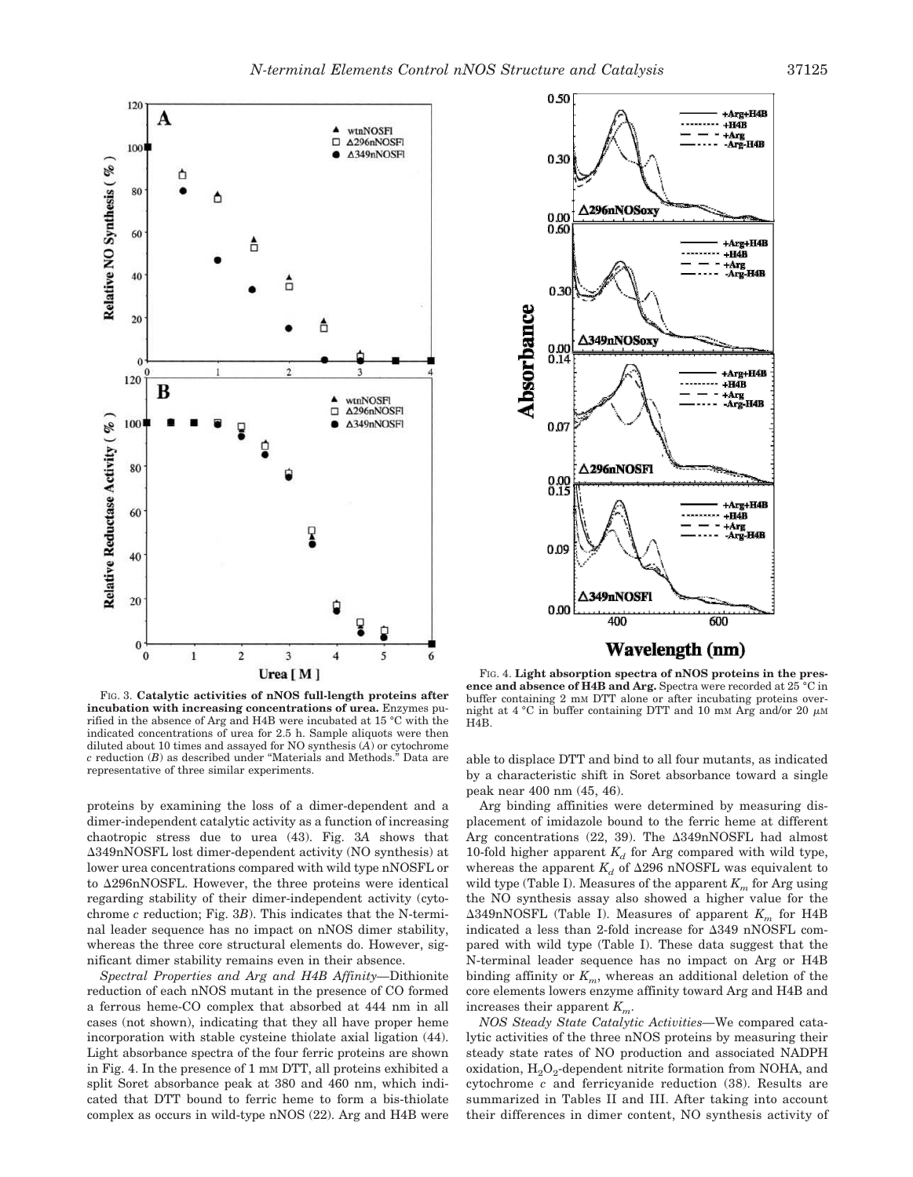

FIG. 3. **Catalytic activities of nNOS full-length proteins after incubation with increasing concentrations of urea.** Enzymes purified in the absence of Arg and H4B were incubated at 15 °C with the indicated concentrations of urea for 2.5 h. Sample aliquots were then diluted about 10 times and assayed for NO synthesis (*A*) or cytochrome *c* reduction (*B*) as described under "Materials and Methods." Data are representative of three similar experiments.

proteins by examining the loss of a dimer-dependent and a dimer-independent catalytic activity as a function of increasing chaotropic stress due to urea (43). Fig. 3*A* shows that 349nNOSFL lost dimer-dependent activity (NO synthesis) at lower urea concentrations compared with wild type nNOSFL or to  $\Delta 296nNOSFL$ . However, the three proteins were identical regarding stability of their dimer-independent activity (cytochrome *c* reduction; Fig. 3*B*). This indicates that the N-terminal leader sequence has no impact on nNOS dimer stability, whereas the three core structural elements do. However, significant dimer stability remains even in their absence.

*Spectral Properties and Arg and H4B Affinity—*Dithionite reduction of each nNOS mutant in the presence of CO formed a ferrous heme-CO complex that absorbed at 444 nm in all cases (not shown), indicating that they all have proper heme incorporation with stable cysteine thiolate axial ligation (44). Light absorbance spectra of the four ferric proteins are shown in Fig. 4. In the presence of 1 mM DTT, all proteins exhibited a split Soret absorbance peak at 380 and 460 nm, which indicated that DTT bound to ferric heme to form a bis-thiolate complex as occurs in wild-type nNOS (22). Arg and H4B were



FIG. 4. **Light absorption spectra of nNOS proteins in the presence and absence of H4B and Arg.** Spectra were recorded at 25 °C in buffer containing 2 mM DTT alone or after incubating proteins overnight at 4 °C in buffer containing DTT and 10 mM Arg and/or 20  $\mu$ M H4B.

able to displace DTT and bind to all four mutants, as indicated by a characteristic shift in Soret absorbance toward a single peak near 400 nm (45, 46).

Arg binding affinities were determined by measuring displacement of imidazole bound to the ferric heme at different Arg concentrations (22, 39). The  $\Delta 349nNOSFL$  had almost 10-fold higher apparent  $K_d$  for Arg compared with wild type, whereas the apparent  $K_d$  of  $\Delta 296$  nNOSFL was equivalent to wild type (Table I). Measures of the apparent *K<sup>m</sup>* for Arg using the NO synthesis assay also showed a higher value for the  $\Delta 349$ nNOSFL (Table I). Measures of apparent  $K_m$  for H4B indicated a less than 2-fold increase for  $\Delta 349$  nNOSFL compared with wild type (Table I). These data suggest that the N-terminal leader sequence has no impact on Arg or H4B binding affinity or *Km*, whereas an additional deletion of the core elements lowers enzyme affinity toward Arg and H4B and increases their apparent *Km*.

*NOS Steady State Catalytic Activities—*We compared catalytic activities of the three nNOS proteins by measuring their steady state rates of NO production and associated NADPH oxidation,  $\text{H}_{2}\text{O}_{2}$ -dependent nitrite formation from NOHA, and cytochrome *c* and ferricyanide reduction (38). Results are summarized in Tables II and III. After taking into account their differences in dimer content, NO synthesis activity of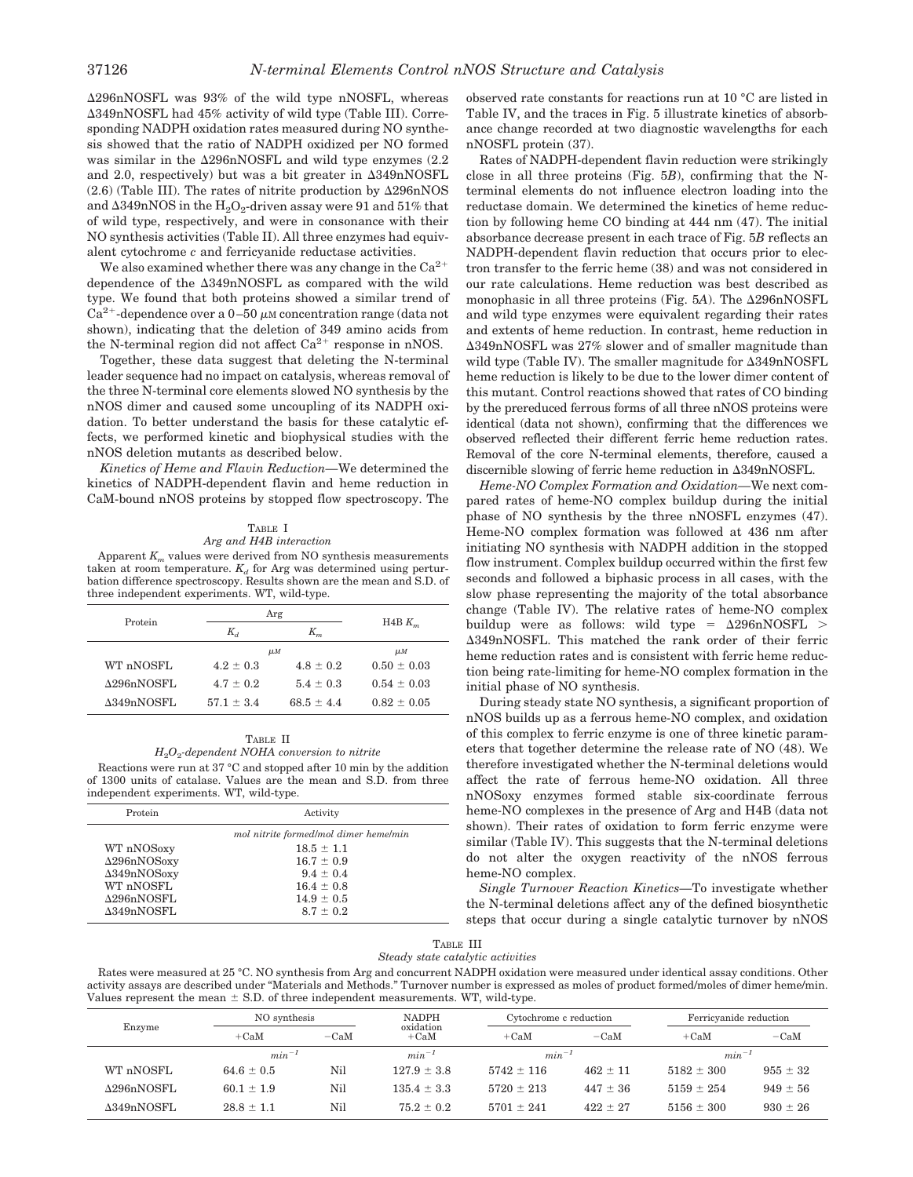296nNOSFL was 93% of the wild type nNOSFL, whereas 349nNOSFL had 45% activity of wild type (Table III). Corresponding NADPH oxidation rates measured during NO synthesis showed that the ratio of NADPH oxidized per NO formed was similar in the 296nNOSFL and wild type enzymes (2.2 and 2.0, respectively) but was a bit greater in  $\Delta 349nNOSFL$  $(2.6)$  (Table III). The rates of nitrite production by  $\Delta 296 \text{nNOS}$ and  $\Delta 349 \mathrm{nNOS}$  in the  $\mathrm{H_2O_2}$ -driven assay were 91 and 51% that of wild type, respectively, and were in consonance with their NO synthesis activities (Table II). All three enzymes had equivalent cytochrome *c* and ferricyanide reductase activities.

We also examined whether there was any change in the  $Ca^{2+}$ dependence of the 349nNOSFL as compared with the wild type. We found that both proteins showed a similar trend of  $Ca<sup>2+</sup>$ -dependence over a 0-50  $\mu$ M concentration range (data not shown), indicating that the deletion of 349 amino acids from the N-terminal region did not affect  $Ca^{2+}$  response in nNOS.

Together, these data suggest that deleting the N-terminal leader sequence had no impact on catalysis, whereas removal of the three N-terminal core elements slowed NO synthesis by the nNOS dimer and caused some uncoupling of its NADPH oxidation. To better understand the basis for these catalytic effects, we performed kinetic and biophysical studies with the nNOS deletion mutants as described below.

*Kinetics of Heme and Flavin Reduction—*We determined the kinetics of NADPH-dependent flavin and heme reduction in CaM-bound nNOS proteins by stopped flow spectroscopy. The

# TABLE I *Arg and H4B interaction*

Apparent  $K<sub>m</sub>$  values were derived from NO synthesis measurements taken at room temperature.  $K_d$  for Arg was determined using perturbation difference spectroscopy. Results shown are the mean and S.D. of three independent experiments. WT, wild-type.

| Protein            | Arg            | $H4B K_m$      |                    |
|--------------------|----------------|----------------|--------------------|
|                    | $K_d$          | $K_m$          |                    |
|                    | $\mu$ <i>M</i> |                | $\mu$ <sub>M</sub> |
| WT nNOSFL          | $4.2 + 0.3$    | $4.8 + 0.2$    | $0.50 \pm 0.03$    |
| $\Delta$ 296nNOSFL | $4.7 + 0.2$    | $5.4 + 0.3$    | $0.54 \pm 0.03$    |
| $\Delta$ 349nNOSFL | $57.1 + 3.4$   | $68.5 \pm 4.4$ | $0.82 \pm 0.05$    |

# TABLE II *H*2*O*<sup>2</sup> *-dependent NOHA conversion to nitrite*

Reactions were run at 37 °C and stopped after 10 min by the addition of 1300 units of catalase. Values are the mean and S.D. from three independent experiments. WT, wild-type.

| Activity                              |
|---------------------------------------|
| mol nitrite formed/mol dimer heme/min |
| $18.5 \pm 1.1$                        |
| $16.7 \pm 0.9$                        |
| $9.4 \pm 0.4$                         |
| $16.4 \pm 0.8$                        |
| $14.9 \pm 0.5$                        |
| $8.7 \pm 0.2$                         |
|                                       |

observed rate constants for reactions run at 10 °C are listed in Table IV, and the traces in Fig. 5 illustrate kinetics of absorbance change recorded at two diagnostic wavelengths for each nNOSFL protein (37).

Rates of NADPH-dependent flavin reduction were strikingly close in all three proteins (Fig. 5*B*), confirming that the Nterminal elements do not influence electron loading into the reductase domain. We determined the kinetics of heme reduction by following heme CO binding at 444 nm (47). The initial absorbance decrease present in each trace of Fig. 5*B* reflects an NADPH-dependent flavin reduction that occurs prior to electron transfer to the ferric heme (38) and was not considered in our rate calculations. Heme reduction was best described as monophasic in all three proteins (Fig. 5*A*). The 296nNOSFL and wild type enzymes were equivalent regarding their rates and extents of heme reduction. In contrast, heme reduction in 349nNOSFL was 27% slower and of smaller magnitude than wild type (Table IV). The smaller magnitude for  $\Delta 349nNOSFL$ heme reduction is likely to be due to the lower dimer content of this mutant. Control reactions showed that rates of CO binding by the prereduced ferrous forms of all three nNOS proteins were identical (data not shown), confirming that the differences we observed reflected their different ferric heme reduction rates. Removal of the core N-terminal elements, therefore, caused a discernible slowing of ferric heme reduction in 349nNOSFL.

*Heme-NO Complex Formation and Oxidation—*We next compared rates of heme-NO complex buildup during the initial phase of NO synthesis by the three nNOSFL enzymes (47). Heme-NO complex formation was followed at 436 nm after initiating NO synthesis with NADPH addition in the stopped flow instrument. Complex buildup occurred within the first few seconds and followed a biphasic process in all cases, with the slow phase representing the majority of the total absorbance change (Table IV). The relative rates of heme-NO complex buildup were as follows: wild type =  $\Delta 296 \text{nNOSFL}$  > 349nNOSFL. This matched the rank order of their ferric heme reduction rates and is consistent with ferric heme reduction being rate-limiting for heme-NO complex formation in the initial phase of NO synthesis.

During steady state NO synthesis, a significant proportion of nNOS builds up as a ferrous heme-NO complex, and oxidation of this complex to ferric enzyme is one of three kinetic parameters that together determine the release rate of NO (48). We therefore investigated whether the N-terminal deletions would affect the rate of ferrous heme-NO oxidation. All three nNOSoxy enzymes formed stable six-coordinate ferrous heme-NO complexes in the presence of Arg and H4B (data not shown). Their rates of oxidation to form ferric enzyme were similar (Table IV). This suggests that the N-terminal deletions do not alter the oxygen reactivity of the nNOS ferrous heme-NO complex.

*Single Turnover Reaction Kinetics—*To investigate whether the N-terminal deletions affect any of the defined biosynthetic steps that occur during a single catalytic turnover by nNOS

|  | TABLE III |                                   |
|--|-----------|-----------------------------------|
|  |           | Steady state catalytic activities |

Rates were measured at 25 °C. NO synthesis from Arg and concurrent NADPH oxidation were measured under identical assay conditions. Other activity assays are described under "Materials and Methods." Turnover number is expressed as moles of product formed/moles of dimer heme/min. Values represent the mean  $\pm$  S.D. of three independent measurements. WT, wild-type.

|                    | NO synthesis   |        | <b>NADPH</b><br>oxidation | Cytochrome c reduction |              | Ferricyanide reduction |              |
|--------------------|----------------|--------|---------------------------|------------------------|--------------|------------------------|--------------|
| Enzyme             | $+CaM$         | $-CaM$ | $+CaM$                    | $+CaM$                 | $-CaM$       | $+CaM$                 | $-CaM$       |
|                    | $min^{-1}$     |        | $min^{-1}$                | $min^{-1}$             |              | $min^{-1}$             |              |
| WT nNOSFL          | $64.6 \pm 0.5$ | Nil    | $127.9 \pm 3.8$           | $5742 \pm 116$         | $462 \pm 11$ | $5182 \pm 300$         | $955 \pm 32$ |
| $\Delta$ 296nNOSFL | $60.1 \pm 1.9$ | Nil    | $135.4 \pm 3.3$           | $5720 \pm 213$         | $447 \pm 36$ | $5159 \pm 254$         | $949 \pm 56$ |
| $\Delta$ 349nNOSFL | $28.8 \pm 1.1$ | Nil    | $75.2 \pm 0.2$            | $5701 \pm 241$         | $422 \pm 27$ | $5156 \pm 300$         | $930 \pm 26$ |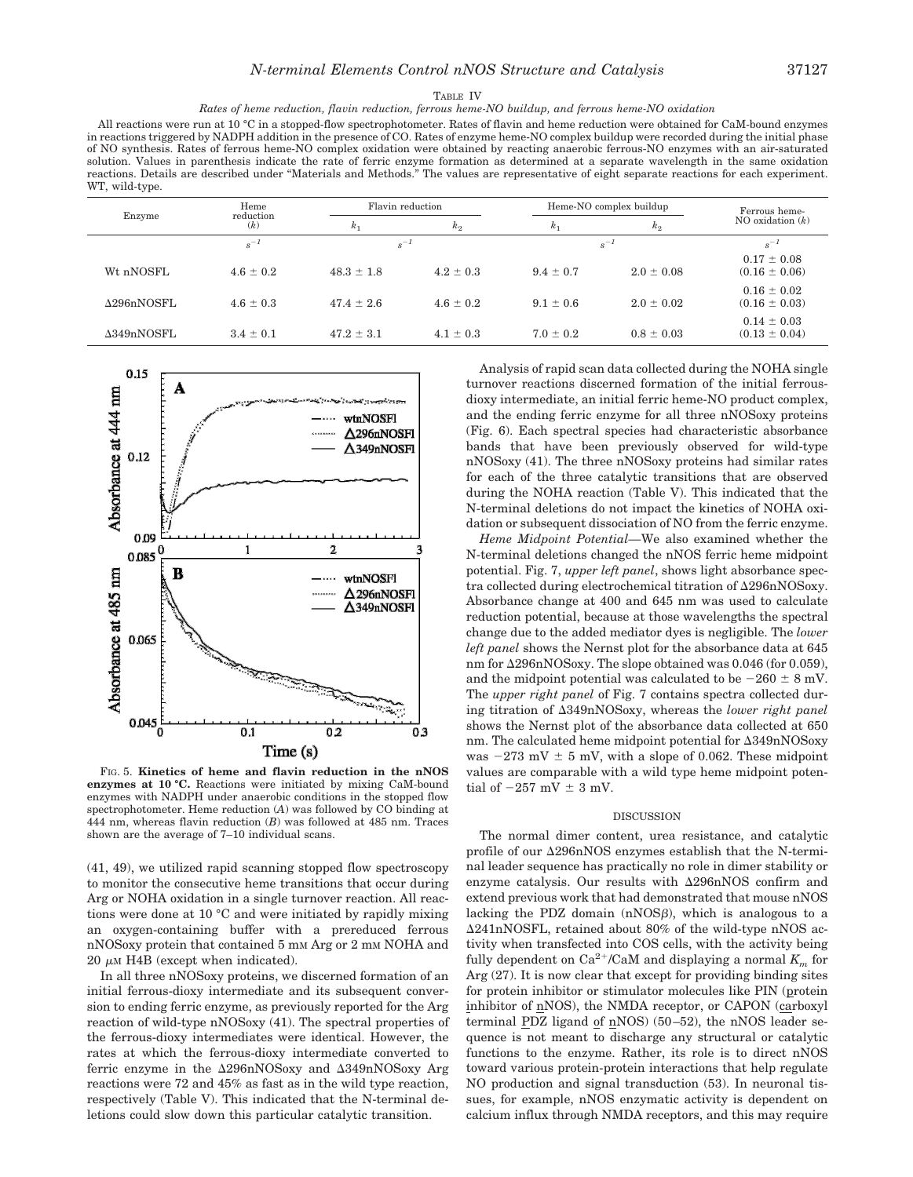### TABLE IV *Rates of heme reduction, flavin reduction, ferrous heme-NO buildup, and ferrous heme-NO oxidation*

All reactions were run at 10 °C in a stopped-flow spectrophotometer. Rates of flavin and heme reduction were obtained for CaM-bound enzymes in reactions triggered by NADPH addition in the presence of CO. Rates of enzyme heme-NO complex buildup were recorded during the initial phase of NO synthesis. Rates of ferrous heme-NO complex oxidation were obtained by reacting anaerobic ferrous-NO enzymes with an air-saturated solution. Values in parenthesis indicate the rate of ferric enzyme formation as determined at a separate wavelength in the same oxidation reactions. Details are described under "Materials and Methods." The values are representative of eight separate reactions for each experiment. WT, wild-type.

|                    | Heme             | Flavin reduction |               | Heme-NO complex buildup |                | Ferrous heme-                        |
|--------------------|------------------|------------------|---------------|-------------------------|----------------|--------------------------------------|
| Enzyme             | reduction<br>(k) | $k_{1}$          | $k_{2}$       | k <sub>1</sub>          | k <sub>2</sub> | NO oxidation $(k)$                   |
|                    | $s^{-1}$         | $s^{-1}$         |               |                         | $s^{-1}$       | $s^{-1}$                             |
| Wt nNOSFL          | $4.6 \pm 0.2$    | $48.3 \pm 1.8$   | $4.2 \pm 0.3$ | $9.4 \pm 0.7$           | $2.0 \pm 0.08$ | $0.17 \pm 0.08$<br>$(0.16 \pm 0.06)$ |
| $\Delta$ 296nNOSFL | $4.6 \pm 0.3$    | $47.4 \pm 2.6$   | $4.6 \pm 0.2$ | $9.1 \pm 0.6$           | $2.0 \pm 0.02$ | $0.16 \pm 0.02$<br>$(0.16 \pm 0.03)$ |
| $\Delta$ 349nNOSFL | $3.4 \pm 0.1$    | $47.2 \pm 3.1$   | $4.1 \pm 0.3$ | $7.0 \pm 0.2$           | $0.8 \pm 0.03$ | $0.14 \pm 0.03$<br>$(0.13 \pm 0.04)$ |



FIG. 5. **Kinetics of heme and flavin reduction in the nNOS enzymes at 10 °C.** Reactions were initiated by mixing CaM-bound enzymes with NADPH under anaerobic conditions in the stopped flow spectrophotometer. Heme reduction (*A*) was followed by CO binding at 444 nm, whereas flavin reduction (*B*) was followed at 485 nm. Traces shown are the average of 7–10 individual scans.

(41, 49), we utilized rapid scanning stopped flow spectroscopy to monitor the consecutive heme transitions that occur during Arg or NOHA oxidation in a single turnover reaction. All reactions were done at 10 °C and were initiated by rapidly mixing an oxygen-containing buffer with a prereduced ferrous nNOSoxy protein that contained 5 mM Arg or 2 mM NOHA and  $20 \mu M$  H4B (except when indicated).

In all three nNOSoxy proteins, we discerned formation of an initial ferrous-dioxy intermediate and its subsequent conversion to ending ferric enzyme, as previously reported for the Arg reaction of wild-type nNOSoxy (41). The spectral properties of the ferrous-dioxy intermediates were identical. However, the rates at which the ferrous-dioxy intermediate converted to ferric enzyme in the  $\Delta$ 296nNOSoxy and  $\Delta$ 349nNOSoxy Arg reactions were 72 and 45% as fast as in the wild type reaction, respectively (Table V). This indicated that the N-terminal deletions could slow down this particular catalytic transition.

Analysis of rapid scan data collected during the NOHA single turnover reactions discerned formation of the initial ferrousdioxy intermediate, an initial ferric heme-NO product complex, and the ending ferric enzyme for all three nNOSoxy proteins (Fig. 6). Each spectral species had characteristic absorbance bands that have been previously observed for wild-type nNOSoxy (41). The three nNOSoxy proteins had similar rates for each of the three catalytic transitions that are observed during the NOHA reaction (Table V). This indicated that the N-terminal deletions do not impact the kinetics of NOHA oxidation or subsequent dissociation of NO from the ferric enzyme.

*Heme Midpoint Potential—*We also examined whether the N-terminal deletions changed the nNOS ferric heme midpoint potential. Fig. 7, *upper left panel*, shows light absorbance spectra collected during electrochemical titration of  $\Delta 296$ nNOSoxy. Absorbance change at 400 and 645 nm was used to calculate reduction potential, because at those wavelengths the spectral change due to the added mediator dyes is negligible. The *lower left panel* shows the Nernst plot for the absorbance data at 645 nm for  $\Delta 296$ nNOSoxy. The slope obtained was 0.046 (for 0.059), and the midpoint potential was calculated to be  $-260 \pm 8$  mV. The *upper right panel* of Fig. 7 contains spectra collected during titration of 349nNOSoxy, whereas the *lower right panel* shows the Nernst plot of the absorbance data collected at 650 nm. The calculated heme midpoint potential for 349nNOSoxy was  $-273$  mV  $\pm$  5 mV, with a slope of 0.062. These midpoint values are comparable with a wild type heme midpoint potential of  $-257$  mV  $\pm$  3 mV.

# **DISCUSSION**

The normal dimer content, urea resistance, and catalytic profile of our  $\Delta 296$ nNOS enzymes establish that the N-terminal leader sequence has practically no role in dimer stability or enzyme catalysis. Our results with 296nNOS confirm and extend previous work that had demonstrated that mouse nNOS lacking the PDZ domain  $(nNOS\beta)$ , which is analogous to a 241nNOSFL, retained about 80% of the wild-type nNOS activity when transfected into COS cells, with the activity being fully dependent on  $\text{Ca}^{2+}/\text{CaM}$  and displaying a normal  $K_m$  for Arg (27). It is now clear that except for providing binding sites for protein inhibitor or stimulator molecules like PIN (protein inhibitor of nNOS), the NMDA receptor, or CAPON (carboxyl terminal PDZ ligand of nNOS) (50–52), the nNOS leader sequence is not meant to discharge any structural or catalytic functions to the enzyme. Rather, its role is to direct nNOS toward various protein-protein interactions that help regulate NO production and signal transduction (53). In neuronal tissues, for example, nNOS enzymatic activity is dependent on calcium influx through NMDA receptors, and this may require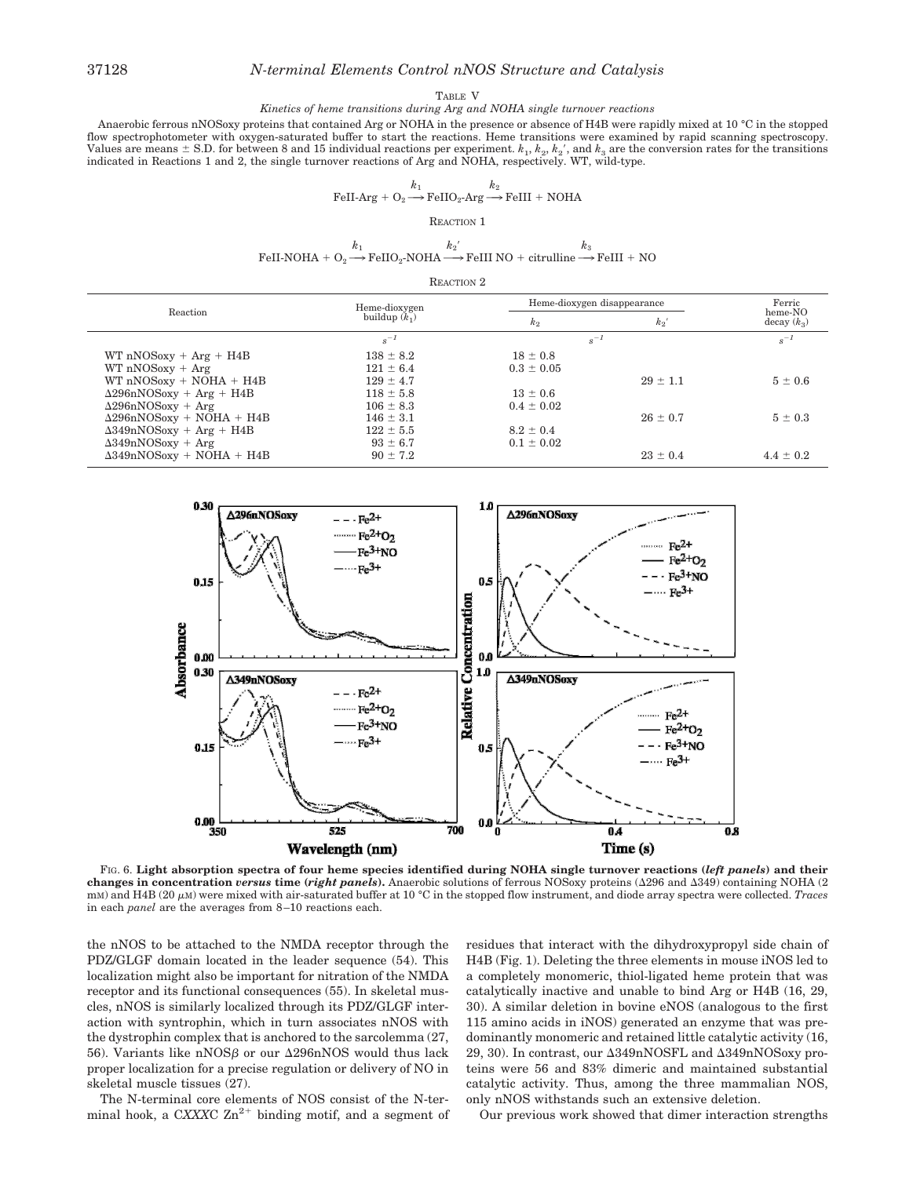# 37128 *N-terminal Elements Control nNOS Structure and Catalysis*

#### TABLE V

# *Kinetics of heme transitions during Arg and NOHA single turnover reactions*

Anaerobic ferrous nNOSoxy proteins that contained Arg or NOHA in the presence or absence of H4B were rapidly mixed at 10 °C in the stopped flow spectrophotometer with oxygen-saturated buffer to start the reactions. Heme transitions were examined by rapid scanning spectroscopy. Values are means  $\pm$  S.D. for between 8 and 15 individual reactions per experiment.  $k_1, k_2, k_2'$ , and  $k_3$  are the conversion rates for the transitions indicated in Reactions 1 and 2, the single turnover reactions of Arg and NOHA, respectively. WT, wild-type.

$$
\text{FeII-Arg} + \text{O}_2 \xrightarrow{k_1} \text{FeIIO}_2 \text{-} \text{Arg} \xrightarrow{k_2} \text{FeIII} + \text{NOHA}
$$

REACTION 1

FeII-NOHA +  $O_2$  $k_1$ <br>  $\rightarrow$  FeIIO<sub>2</sub>-NOHA  $\xrightarrow{k_2}'$ *k*2- $FeIII NO + citrulline \longrightarrow FeIII + NO$ *k*3

| Reaction 2 |  |
|------------|--|
|------------|--|

| Reaction                         | Heme-dioxygen   | Heme-dioxygen disappearance | Ferric       |                          |
|----------------------------------|-----------------|-----------------------------|--------------|--------------------------|
|                                  | buildup $(k_1)$ | $k_{2}$                     | $k_{2}$      | heme-NO<br>decay $(k_3)$ |
|                                  | $s^{-1}$        | $s^{-1}$                    |              | $s^{-1}$                 |
| $WT nNOSoxy + Arg + H4B$         | $138 \pm 8.2$   | $18 \pm 0.8$                |              |                          |
| $WT nNOSoxy + Arg$               | $121 \pm 6.4$   | $0.3 \pm 0.05$              |              |                          |
| $WT nNOSoxy + NOHA + H4B$        | $129 \pm 4.7$   |                             | $29 \pm 1.1$ | $5 \pm 0.6$              |
| $\Delta$ 296nNOSoxy + Arg + H4B  | $118 \pm 5.8$   | $13 \pm 0.6$                |              |                          |
| $\Delta$ 296nNOSoxy + Arg        | $106 \pm 8.3$   | $0.4 \pm 0.02$              |              |                          |
| $\Delta$ 296nNOSoxy + NOHA + H4B | $146 \pm 3.1$   |                             | $26 \pm 0.7$ | $5 \pm 0.3$              |
| $\Delta 349nNOSoxy + Arg + H4B$  | $122 \pm 5.5$   | $8.2 \pm 0.4$               |              |                          |
| $\Delta$ 349nNOSoxy + Arg        | $93 \pm 6.7$    | $0.1 \pm 0.02$              |              |                          |
| $\Delta$ 349nNOSoxy + NOHA + H4B | $90 \pm 7.2$    |                             | $23 \pm 0.4$ | $4.4 \pm 0.2$            |
|                                  |                 |                             |              |                          |



FIG. 6. **Light absorption spectra of four heme species identified during NOHA single turnover reactions (***left panels***) and their changes in concentration** *versus* **time (***right panels***).** Anaerobic solutions of ferrous NOSoxy proteins (296 and 349) containing NOHA (2 mM) and H4B (20 μM) were mixed with air-saturated buffer at 10 °C in the stopped flow instrument, and diode array spectra were collected. *Traces* in each *panel* are the averages from 8–10 reactions each.

the nNOS to be attached to the NMDA receptor through the PDZ/GLGF domain located in the leader sequence (54). This localization might also be important for nitration of the NMDA receptor and its functional consequences (55). In skeletal muscles, nNOS is similarly localized through its PDZ/GLGF interaction with syntrophin, which in turn associates nNOS with the dystrophin complex that is anchored to the sarcolemma (27, 56). Variants like nNOS $\beta$  or our  $\Delta 296$ nNOS would thus lack proper localization for a precise regulation or delivery of NO in skeletal muscle tissues (27).

The N-terminal core elements of NOS consist of the N-terminal hook, a CXXXC  $\text{Zn}^{2+}$  binding motif, and a segment of residues that interact with the dihydroxypropyl side chain of H4B (Fig. 1). Deleting the three elements in mouse iNOS led to a completely monomeric, thiol-ligated heme protein that was catalytically inactive and unable to bind Arg or H4B (16, 29, 30). A similar deletion in bovine eNOS (analogous to the first 115 amino acids in iNOS) generated an enzyme that was predominantly monomeric and retained little catalytic activity (16, 29, 30). In contrast, our  $\triangle 349nNOSFL$  and  $\triangle 349nNOS$ oxy proteins were 56 and 83% dimeric and maintained substantial catalytic activity. Thus, among the three mammalian NOS, only nNOS withstands such an extensive deletion.

Our previous work showed that dimer interaction strengths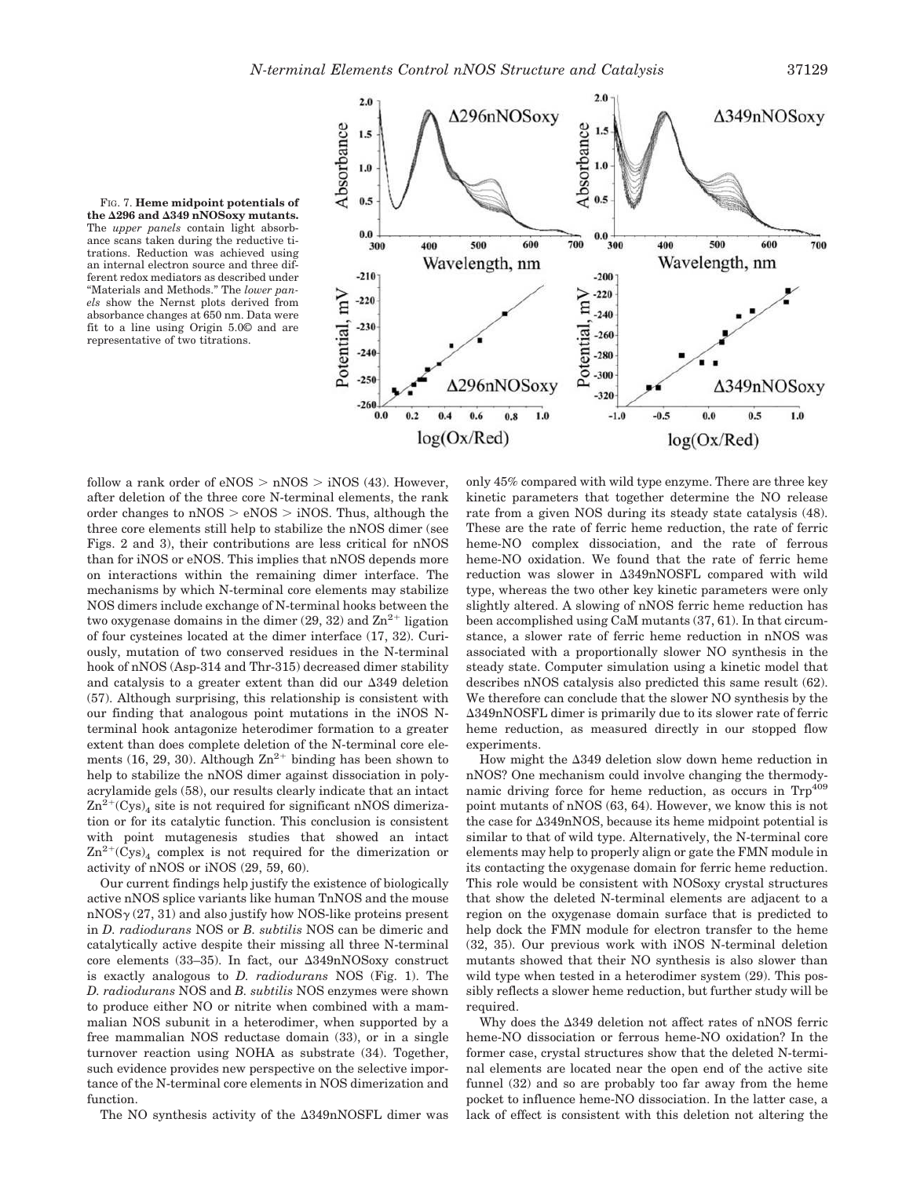

FIG. 7. **Heme midpoint potentials of the 296 and 349 nNOSoxy mutants.** The *upper panels* contain light absorbance scans taken during the reductive titrations. Reduction was achieved using an internal electron source and three different redox mediators as described under "Materials and Methods." The *lower panels* show the Nernst plots derived from absorbance changes at 650 nm. Data were fit to a line using Origin 5.0© and are representative of two titrations.

follow a rank order of  $eNOS > nNOS > iNOS$  (43). However, after deletion of the three core N-terminal elements, the rank order changes to  $nNOS > eNOS > iNOS$ . Thus, although the three core elements still help to stabilize the nNOS dimer (see Figs. 2 and 3), their contributions are less critical for nNOS than for iNOS or eNOS. This implies that nNOS depends more on interactions within the remaining dimer interface. The mechanisms by which N-terminal core elements may stabilize NOS dimers include exchange of N-terminal hooks between the two oxygenase domains in the dimer (29, 32) and  $\text{Zn}^{2+}$  ligation of four cysteines located at the dimer interface (17, 32). Curiously, mutation of two conserved residues in the N-terminal hook of nNOS (Asp-314 and Thr-315) decreased dimer stability and catalysis to a greater extent than did our  $\Delta 349$  deletion (57). Although surprising, this relationship is consistent with our finding that analogous point mutations in the iNOS Nterminal hook antagonize heterodimer formation to a greater extent than does complete deletion of the N-terminal core elements (16, 29, 30). Although  $\text{Zn}^{2+}$  binding has been shown to help to stabilize the nNOS dimer against dissociation in polyacrylamide gels (58), our results clearly indicate that an intact  $\text{Zn}^{\text{2+}}(\text{Cys})$ <sub>4</sub> site is not required for significant nNOS dimerization or for its catalytic function. This conclusion is consistent with point mutagenesis studies that showed an intact  $\text{Zn}^{2+}(\text{Cys})_4$  complex is not required for the dimerization or activity of nNOS or iNOS (29, 59, 60).

Our current findings help justify the existence of biologically active nNOS splice variants like human TnNOS and the mouse  $nNOS<sub>Y</sub>(27, 31)$  and also justify how NOS-like proteins present in *D. radiodurans* NOS or *B. subtilis* NOS can be dimeric and catalytically active despite their missing all three N-terminal core elements (33–35). In fact, our  $\Delta 349nNOS$ oxy construct is exactly analogous to *D. radiodurans* NOS (Fig. 1). The *D. radiodurans* NOS and *B. subtilis* NOS enzymes were shown to produce either NO or nitrite when combined with a mammalian NOS subunit in a heterodimer, when supported by a free mammalian NOS reductase domain (33), or in a single turnover reaction using NOHA as substrate (34). Together, such evidence provides new perspective on the selective importance of the N-terminal core elements in NOS dimerization and function.

The NO synthesis activity of the  $\Delta$ 349nNOSFL dimer was

only 45% compared with wild type enzyme. There are three key kinetic parameters that together determine the NO release rate from a given NOS during its steady state catalysis (48). These are the rate of ferric heme reduction, the rate of ferric heme-NO complex dissociation, and the rate of ferrous heme-NO oxidation. We found that the rate of ferric heme reduction was slower in 349nNOSFL compared with wild type, whereas the two other key kinetic parameters were only slightly altered. A slowing of nNOS ferric heme reduction has been accomplished using CaM mutants (37, 61). In that circumstance, a slower rate of ferric heme reduction in nNOS was associated with a proportionally slower NO synthesis in the steady state. Computer simulation using a kinetic model that describes nNOS catalysis also predicted this same result (62). We therefore can conclude that the slower NO synthesis by the 349nNOSFL dimer is primarily due to its slower rate of ferric heme reduction, as measured directly in our stopped flow experiments.

How might the  $\Delta$ 349 deletion slow down heme reduction in nNOS? One mechanism could involve changing the thermodynamic driving force for heme reduction, as occurs in Trp<sup>409</sup> point mutants of nNOS (63, 64). However, we know this is not the case for  $\Delta 349$ nNOS, because its heme midpoint potential is similar to that of wild type. Alternatively, the N-terminal core elements may help to properly align or gate the FMN module in its contacting the oxygenase domain for ferric heme reduction. This role would be consistent with NOSoxy crystal structures that show the deleted N-terminal elements are adjacent to a region on the oxygenase domain surface that is predicted to help dock the FMN module for electron transfer to the heme (32, 35). Our previous work with iNOS N-terminal deletion mutants showed that their NO synthesis is also slower than wild type when tested in a heterodimer system (29). This possibly reflects a slower heme reduction, but further study will be required.

Why does the  $\Delta 349$  deletion not affect rates of nNOS ferric heme-NO dissociation or ferrous heme-NO oxidation? In the former case, crystal structures show that the deleted N-terminal elements are located near the open end of the active site funnel (32) and so are probably too far away from the heme pocket to influence heme-NO dissociation. In the latter case, a lack of effect is consistent with this deletion not altering the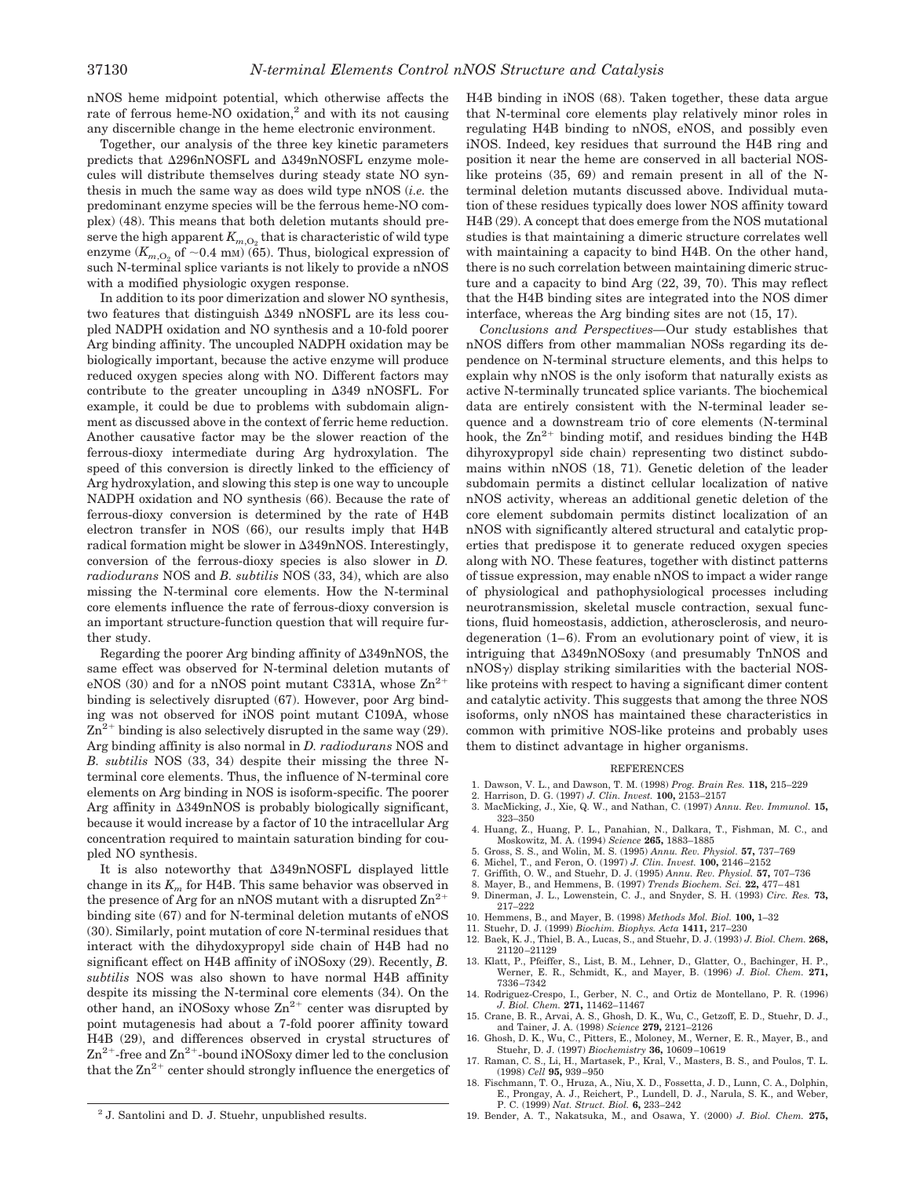nNOS heme midpoint potential, which otherwise affects the rate of ferrous heme-NO oxidation,<sup>2</sup> and with its not causing any discernible change in the heme electronic environment.

Together, our analysis of the three key kinetic parameters predicts that  $\Delta 296nNOSFL$  and  $\Delta 349nNOSFL$  enzyme molecules will distribute themselves during steady state NO synthesis in much the same way as does wild type nNOS (*i.e.* the predominant enzyme species will be the ferrous heme-NO complex) (48). This means that both deletion mutants should preserve the high apparent  $K_{m,\mathrm{O}_2}$  that is characteristic of wild type enzyme  $(K_{m,\text{O}_2}$  of  $\sim 0.4 \text{ mM})$  (65). Thus, biological expression of such N-terminal splice variants is not likely to provide a nNOS with a modified physiologic oxygen response.

In addition to its poor dimerization and slower NO synthesis, two features that distinguish  $\Delta 349$  nNOSFL are its less coupled NADPH oxidation and NO synthesis and a 10-fold poorer Arg binding affinity. The uncoupled NADPH oxidation may be biologically important, because the active enzyme will produce reduced oxygen species along with NO. Different factors may contribute to the greater uncoupling in  $\Delta$ 349 nNOSFL. For example, it could be due to problems with subdomain alignment as discussed above in the context of ferric heme reduction. Another causative factor may be the slower reaction of the ferrous-dioxy intermediate during Arg hydroxylation. The speed of this conversion is directly linked to the efficiency of Arg hydroxylation, and slowing this step is one way to uncouple NADPH oxidation and NO synthesis (66). Because the rate of ferrous-dioxy conversion is determined by the rate of H4B electron transfer in NOS (66), our results imply that H4B radical formation might be slower in  $\Delta 349$ nNOS. Interestingly, conversion of the ferrous-dioxy species is also slower in *D. radiodurans* NOS and *B. subtilis* NOS (33, 34), which are also missing the N-terminal core elements. How the N-terminal core elements influence the rate of ferrous-dioxy conversion is an important structure-function question that will require further study.

Regarding the poorer Arg binding affinity of  $\Delta 349$ nNOS, the same effect was observed for N-terminal deletion mutants of eNOS (30) and for a nNOS point mutant C331A, whose  $\rm Zn^{2+}$ binding is selectively disrupted (67). However, poor Arg binding was not observed for iNOS point mutant C109A, whose  $\text{Zn}^{2+}$  binding is also selectively disrupted in the same way (29). Arg binding affinity is also normal in *D. radiodurans* NOS and *B. subtilis* NOS (33, 34) despite their missing the three Nterminal core elements. Thus, the influence of N-terminal core elements on Arg binding in NOS is isoform-specific. The poorer Arg affinity in  $\Delta 349nNOS$  is probably biologically significant, because it would increase by a factor of 10 the intracellular Arg concentration required to maintain saturation binding for coupled NO synthesis.

It is also noteworthy that 349nNOSFL displayed little change in its  $K_m$  for H4B. This same behavior was observed in the presence of Arg for an nNOS mutant with a disrupted  $\text{Zn}^{2+}$ binding site (67) and for N-terminal deletion mutants of eNOS (30). Similarly, point mutation of core N-terminal residues that interact with the dihydoxypropyl side chain of H4B had no significant effect on H4B affinity of iNOSoxy (29). Recently, *B. subtilis* NOS was also shown to have normal H4B affinity despite its missing the N-terminal core elements (34). On the other hand, an iNOSoxy whose  $\text{Zn}^{2+}$  center was disrupted by point mutagenesis had about a 7-fold poorer affinity toward H4B (29), and differences observed in crystal structures of  $\text{Zn}^{2+}$ -free and  $\text{Zn}^{2+}$ -bound iNOSoxy dimer led to the conclusion that the  $\text{Zn}^{2+}$  center should strongly influence the energetics of

 $2$  J. Santolini and D. J. Stuehr, unpublished results.

H4B binding in iNOS (68). Taken together, these data argue that N-terminal core elements play relatively minor roles in regulating H4B binding to nNOS, eNOS, and possibly even iNOS. Indeed, key residues that surround the H4B ring and position it near the heme are conserved in all bacterial NOSlike proteins (35, 69) and remain present in all of the Nterminal deletion mutants discussed above. Individual mutation of these residues typically does lower NOS affinity toward H4B (29). A concept that does emerge from the NOS mutational studies is that maintaining a dimeric structure correlates well with maintaining a capacity to bind H4B. On the other hand, there is no such correlation between maintaining dimeric structure and a capacity to bind Arg (22, 39, 70). This may reflect that the H4B binding sites are integrated into the NOS dimer interface, whereas the Arg binding sites are not (15, 17).

*Conclusions and Perspectives—*Our study establishes that nNOS differs from other mammalian NOSs regarding its dependence on N-terminal structure elements, and this helps to explain why nNOS is the only isoform that naturally exists as active N-terminally truncated splice variants. The biochemical data are entirely consistent with the N-terminal leader sequence and a downstream trio of core elements (N-terminal hook, the  $\text{Zn}^{2+}$  binding motif, and residues binding the H4B dihyroxypropyl side chain) representing two distinct subdomains within nNOS (18, 71). Genetic deletion of the leader subdomain permits a distinct cellular localization of native nNOS activity, whereas an additional genetic deletion of the core element subdomain permits distinct localization of an nNOS with significantly altered structural and catalytic properties that predispose it to generate reduced oxygen species along with NO. These features, together with distinct patterns of tissue expression, may enable nNOS to impact a wider range of physiological and pathophysiological processes including neurotransmission, skeletal muscle contraction, sexual functions, fluid homeostasis, addiction, atherosclerosis, and neurodegeneration (1–6). From an evolutionary point of view, it is intriguing that 349nNOSoxy (and presumably TnNOS and  $nNOS\gamma$  display striking similarities with the bacterial NOSlike proteins with respect to having a significant dimer content and catalytic activity. This suggests that among the three NOS isoforms, only nNOS has maintained these characteristics in common with primitive NOS-like proteins and probably uses them to distinct advantage in higher organisms.

## REFERENCES

- 1. Dawson, V. L., and Dawson, T. M. (1998) *Prog. Brain Res.* **118,** 215–229
- 2. Harrison, D. G. (1997) *J. Clin. Invest.* **100,** 2153–2157
- 3. MacMicking, J., Xie, Q. W., and Nathan, C. (1997) *Annu. Rev. Immunol.* **15,** 323–350
- 4. Huang, Z., Huang, P. L., Panahian, N., Dalkara, T., Fishman, M. C., and Moskowitz, M. A. (1994) *Science* **265,** 1883–1885
- 5. Gross, S. S., and Wolin, M. S. (1995) *Annu. Rev. Physiol.* **57,** 737–769
- 6. Michel, T., and Feron, O. (1997) *J. Clin. Invest.* **100,** 2146–2152
- 7. Griffith, O. W., and Stuehr, D. J. (1995) *Annu. Rev. Physiol.* **57,** 707–736
- 8. Mayer, B., and Hemmens, B. (1997) *Trends Biochem. Sci.* **22,** 477–481
- 9. Dinerman, J. L., Lowenstein, C. J., and Snyder, S. H. (1993) *Circ. Res.* **73,** 217–222
- 10. Hemmens, B., and Mayer, B. (1998) *Methods Mol. Biol.* **100,** 1–32
- 11. Stuehr, D. J. (1999) *Biochim. Biophys. Acta* **1411,** 217–230
- 12. Baek, K. J., Thiel, B. A., Lucas, S., and Stuehr, D. J. (1993) *J. Biol. Chem.* **268,** 21120–21129
- 13. Klatt, P., Pfeiffer, S., List, B. M., Lehner, D., Glatter, O., Bachinger, H. P., Werner, E. R., Schmidt, K., and Mayer, B. (1996) *J. Biol. Chem.* **271,** 7336–7342
- 14. Rodriguez-Crespo, I., Gerber, N. C., and Ortiz de Montellano, P. R. (1996) *J. Biol. Chem.* **271,** 11462–11467
- 15. Crane, B. R., Arvai, A. S., Ghosh, D. K., Wu, C., Getzoff, E. D., Stuehr, D. J., and Tainer, J. A. (1998) *Science* **279,** 2121–2126
- 16. Ghosh, D. K., Wu, C., Pitters, E., Moloney, M., Werner, E. R., Mayer, B., and Stuehr, D. J. (1997) *Biochemistry* **36,** 10609–10619
- 17. Raman, C. S., Li, H., Martasek, P., Kral, V., Masters, B. S., and Poulos, T. L. (1998) *Cell* **95,** 939–950
- 18. Fischmann, T. O., Hruza, A., Niu, X. D., Fossetta, J. D., Lunn, C. A., Dolphin, E., Prongay, A. J., Reichert, P., Lundell, D. J., Narula, S. K., and Weber, P. C. (1999) *Nat. Struct. Biol.* **6,** 233–242
- 19. Bender, A. T., Nakatsuka, M., and Osawa, Y. (2000) *J. Biol. Chem.* **275,** <sup>2</sup>